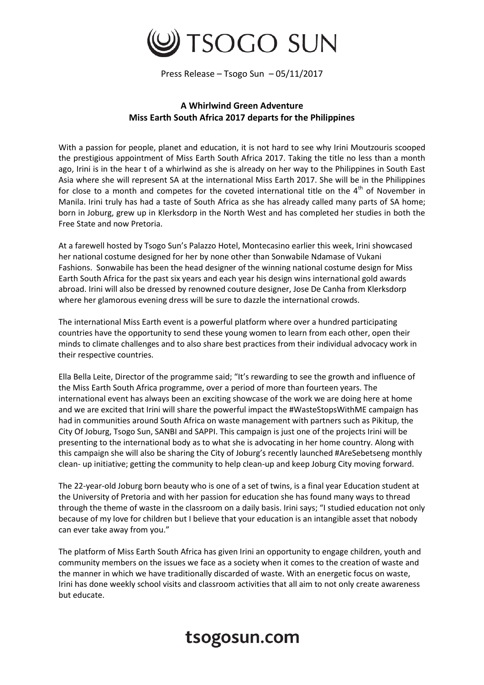

Press Release – Tsogo Sun – 05/11/2017

## **A Whirlwind Green Adventure Miss Earth South Africa 2017 departs for the Philippines**

With a passion for people, planet and education, it is not hard to see why Irini Moutzouris scooped the prestigious appointment of Miss Earth South Africa 2017. Taking the title no less than a month ago, Irini is in the hear t of a whirlwind as she is already on her way to the Philippines in South East Asia where she will represent SA at the international Miss Earth 2017. She will be in the Philippines for close to a month and competes for the coveted international title on the  $4<sup>th</sup>$  of November in Manila. Irini truly has had a taste of South Africa as she has already called many parts of SA home; born in Joburg, grew up in Klerksdorp in the North West and has completed her studies in both the Free State and now Pretoria.

At a farewell hosted by Tsogo Sun's Palazzo Hotel, Montecasino earlier this week, Irini showcased her national costume designed for her by none other than Sonwabile Ndamase of Vukani Fashions. Sonwabile has been the head designer of the winning national costume design for Miss Earth South Africa for the past six years and each year his design wins international gold awards abroad. Irini will also be dressed by renowned couture designer, Jose De Canha from Klerksdorp where her glamorous evening dress will be sure to dazzle the international crowds.

The international Miss Earth event is a powerful platform where over a hundred participating countries have the opportunity to send these young women to learn from each other, open their minds to climate challenges and to also share best practices from their individual advocacy work in their respective countries.

Ella Bella Leite, Director of the programme said; "It's rewarding to see the growth and influence of the Miss Earth South Africa programme, over a period of more than fourteen years. The international event has always been an exciting showcase of the work we are doing here at home and we are excited that Irini will share the powerful impact the #WasteStopsWithME campaign has had in communities around South Africa on waste management with partners such as Pikitup, the City Of Joburg, Tsogo Sun, SANBI and SAPPI. This campaign is just one of the projects Irini will be presenting to the international body as to what she is advocating in her home country. Along with this campaign she will also be sharing the City of Joburg's recently launched #AreSebetseng monthly clean- up initiative; getting the community to help clean-up and keep Joburg City moving forward.

The 22-year-old Joburg born beauty who is one of a set of twins, is a final year Education student at the University of Pretoria and with her passion for education she has found many ways to thread through the theme of waste in the classroom on a daily basis. Irini says; "I studied education not only because of my love for children but I believe that your education is an intangible asset that nobody can ever take away from you."

The platform of Miss Earth South Africa has given Irini an opportunity to engage children, youth and community members on the issues we face as a society when it comes to the creation of waste and the manner in which we have traditionally discarded of waste. With an energetic focus on waste, Irini has done weekly school visits and classroom activities that all aim to not only create awareness but educate.

## tsogosun.com